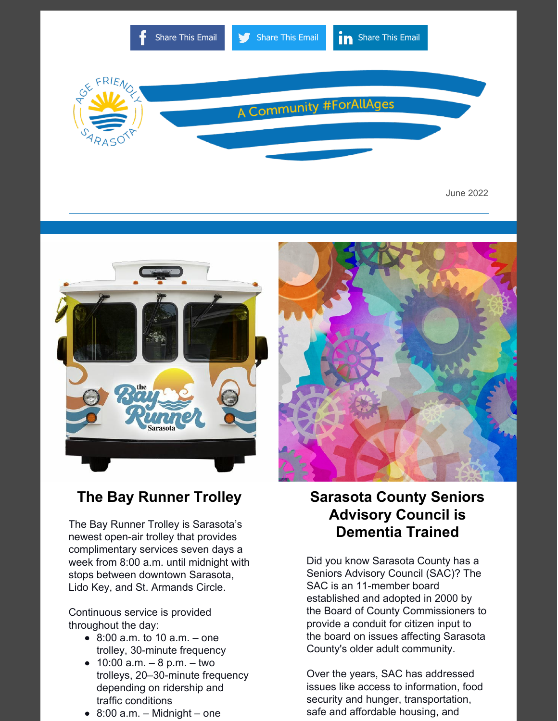

June 2022





The Bay Runner Trolley is Sarasota's newest open-air trolley that provides complimentary services seven days a week from 8:00 a.m. until midnight with stops between downtown Sarasota, Lido Key, and St. Armands Circle.

Continuous service is provided throughout the day:

- $\bullet$  8:00 a.m. to 10 a.m. one trolley, 30-minute frequency
- 10:00  $a.m. 8 p.m. -$  two trolleys, 20–30-minute frequency depending on ridership and traffic conditions
- $\bullet$  8:00 a.m. Midnight one



# **Sarasota County Seniors Advisory Council is Dementia Trained**

Did you know Sarasota County has a Seniors Advisory Council (SAC)? The SAC is an 11-member board established and adopted in 2000 by the Board of County Commissioners to provide a conduit for citizen input to the board on issues affecting Sarasota County's older adult community.

Over the years, SAC has addressed issues like access to information, food security and hunger, transportation, safe and affordable housing, and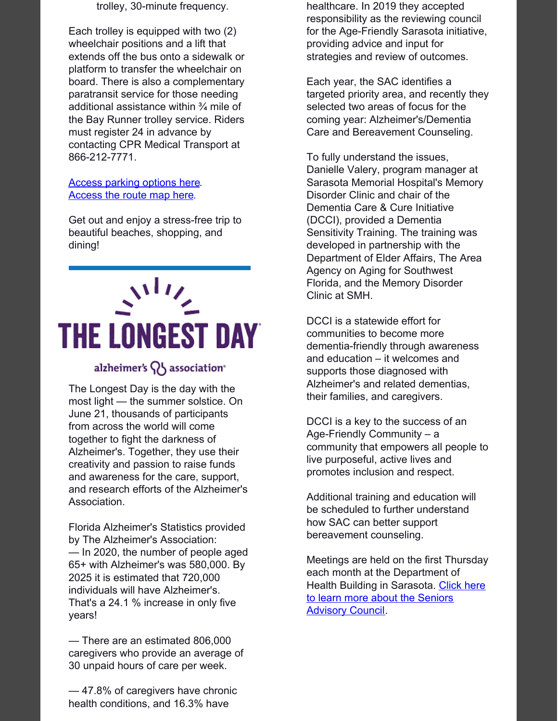trolley, 30-minute frequency.

Each trolley is equipped with two (2) wheelchair positions and a lift that extends off the bus onto a sidewalk or platform to transfer the wheelchair on board. There is also a complementary paratransit service for those needing additional assistance within ¾ mile of the Bay Runner trolley service. Riders must register 24 in advance by contacting CPR Medical Transport at 866-212-7771.

#### Access [parking](https://sarasotabayrunner.com/parking/) options here. [Access](https://sarasotabayrunner.com/trolley-route/) the route map here.

Get out and enjoy a stress-free trip to beautiful beaches, shopping, and dining!

# **THE LONGEST DAY**

### alzheimer's  $\{ \}$  association

The Longest Day is the day with the most light — the summer solstice. On June 21, thousands of participants from across the world will come together to fight the darkness of Alzheimer's. Together, they use their creativity and passion to raise funds and awareness for the care, support, and research efforts of the Alzheimer's Association.

Florida Alzheimer's Statistics provided by The Alzheimer's Association: — In 2020, the number of people aged 65+ with Alzheimer's was 580,000. By 2025 it is estimated that 720,000 individuals will have Alzheimer's. That's a 24.1 % increase in only five years!

— There are an estimated 806,000 caregivers who provide an average of 30 unpaid hours of care per week.

— 47.8% of caregivers have chronic health conditions, and 16.3% have

healthcare. In 2019 they accepted responsibility as the reviewing council for the Age-Friendly Sarasota initiative, providing advice and input for strategies and review of outcomes.

Each year, the SAC identifies a targeted priority area, and recently they selected two areas of focus for the coming year: Alzheimer's/Dementia Care and Bereavement Counseling.

To fully understand the issues, Danielle Valery, program manager at Sarasota Memorial Hospital's Memory Disorder Clinic and chair of the Dementia Care & Cure Initiative (DCCI), provided a Dementia Sensitivity Training. The training was developed in partnership with the Department of Elder Affairs, The Area Agency on Aging for Southwest Florida, and the Memory Disorder Clinic at SMH.

DCCI is a statewide effort for communities to become more dementia-friendly through awareness and education – it welcomes and supports those diagnosed with Alzheimer's and related dementias, their families, and caregivers.

DCCI is a key to the success of an Age-Friendly Community – a community that empowers all people to live purposeful, active lives and promotes inclusion and respect.

Additional training and education will be scheduled to further understand how SAC can better support bereavement counseling.

Meetings are held on the first Thursday each month at the Department of Health Building in [Sarasota.](https://www.scgov.net/government/advisory-boards-and-councils/community-services/seniors-advisory-council) Click here to learn more about the Seniors **Advisory Council.**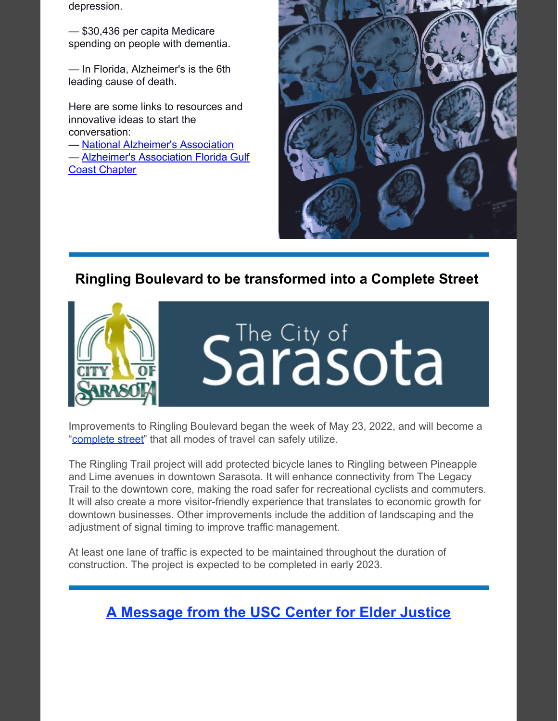depression.

— \$30,436 per capita Medicare spending on people with dementia.

— In Florida, Alzheimer's is the 6th leading cause of death.

Here are some links to resources and innovative ideas to start the conversation:

— National [Alzheimer's](https://www.alz.org/) Association

— [Alzheimer's](https://www.alz.org/flgulfcoast) Association Florida Gulf Coast Chapter



# **Ringling Boulevard to be [transformed](https://www.sarasotafl.gov/Home/Components/News/News/2808/16) into a Complete Street**



Improvements to Ringling Boulevard began the week of May 23, 2022, and will become a ["complete](https://www.sarasotafl.gov/Home/Components/News/News/2808/16) street" that all modes of travel can safely utilize.

The Ringling Trail project will add protected bicycle lanes to Ringling between Pineapple and Lime avenues in downtown Sarasota. It will enhance connectivity from The Legacy Trail to the downtown core, making the road safer for recreational cyclists and commuters. It will also create a more visitor-friendly experience that translates to economic growth for downtown businesses. Other improvements include the addition of landscaping and the adjustment of signal timing to improve traffic management.

At least one lane of traffic is expected to be maintained throughout the duration of construction. The project is expected to be completed in early 2023.

**A [Message](https://eldermistreatment.usc.edu/) from the USC Center for Elder Justice**